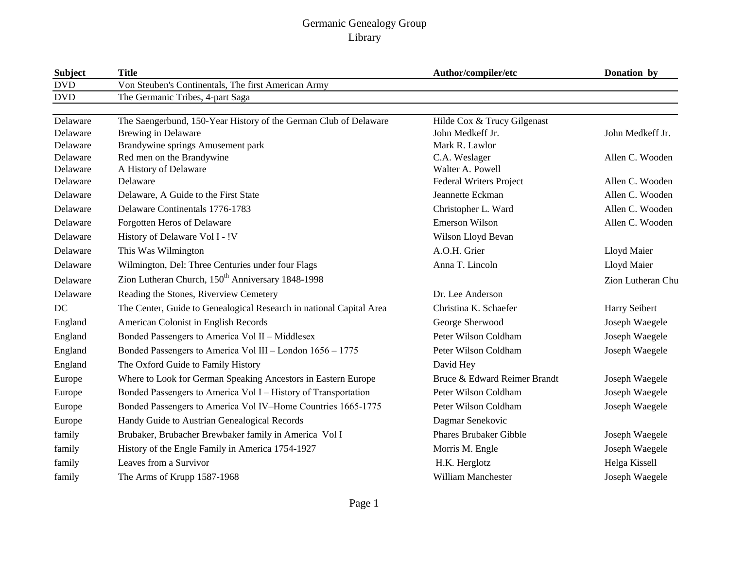| <b>Subject</b> | <b>Title</b>                                                        | Author/compiler/etc           | Donation by       |
|----------------|---------------------------------------------------------------------|-------------------------------|-------------------|
| <b>DVD</b>     | Von Steuben's Continentals, The first American Army                 |                               |                   |
| <b>DVD</b>     | The Germanic Tribes, 4-part Saga                                    |                               |                   |
| Delaware       | The Saengerbund, 150-Year History of the German Club of Delaware    | Hilde Cox & Trucy Gilgenast   |                   |
| Delaware       | <b>Brewing in Delaware</b>                                          | John Medkeff Jr.              | John Medkeff Jr.  |
| Delaware       | Brandywine springs Amusement park                                   | Mark R. Lawlor                |                   |
| Delaware       | Red men on the Brandywine                                           | C.A. Weslager                 | Allen C. Wooden   |
| Delaware       | A History of Delaware                                               | Walter A. Powell              |                   |
| Delaware       | Delaware                                                            | Federal Writers Project       | Allen C. Wooden   |
| Delaware       | Delaware, A Guide to the First State                                | Jeannette Eckman              | Allen C. Wooden   |
| Delaware       | Delaware Continentals 1776-1783                                     | Christopher L. Ward           | Allen C. Wooden   |
| Delaware       | Forgotten Heros of Delaware                                         | <b>Emerson Wilson</b>         | Allen C. Wooden   |
| Delaware       | History of Delaware Vol I - !V                                      | Wilson Lloyd Bevan            |                   |
| Delaware       | This Was Wilmington                                                 | A.O.H. Grier                  | Lloyd Maier       |
| Delaware       | Wilmington, Del: Three Centuries under four Flags                   | Anna T. Lincoln               | Lloyd Maier       |
| Delaware       | Zion Lutheran Church, 150 <sup>th</sup> Anniversary 1848-1998       |                               | Zion Lutheran Chu |
| Delaware       | Reading the Stones, Riverview Cemetery                              | Dr. Lee Anderson              |                   |
| DC             | The Center, Guide to Genealogical Research in national Capital Area | Christina K. Schaefer         | Harry Seibert     |
| England        | American Colonist in English Records                                | George Sherwood               | Joseph Waegele    |
| England        | Bonded Passengers to America Vol II - Middlesex                     | Peter Wilson Coldham          | Joseph Waegele    |
| England        | Bonded Passengers to America Vol III - London 1656 - 1775           | Peter Wilson Coldham          | Joseph Waegele    |
| England        | The Oxford Guide to Family History                                  | David Hey                     |                   |
| Europe         | Where to Look for German Speaking Ancestors in Eastern Europe       | Bruce & Edward Reimer Brandt  | Joseph Waegele    |
| Europe         | Bonded Passengers to America Vol I - History of Transportation      | Peter Wilson Coldham          | Joseph Waegele    |
| Europe         | Bonded Passengers to America Vol IV-Home Countries 1665-1775        | Peter Wilson Coldham          | Joseph Waegele    |
| Europe         | Handy Guide to Austrian Genealogical Records                        | Dagmar Senekovic              |                   |
| family         | Brubaker, Brubacher Brewbaker family in America Vol I               | <b>Phares Brubaker Gibble</b> | Joseph Waegele    |
| family         | History of the Engle Family in America 1754-1927                    | Morris M. Engle               | Joseph Waegele    |
| family         | Leaves from a Survivor                                              | H.K. Herglotz                 | Helga Kissell     |
| family         | The Arms of Krupp 1587-1968                                         | <b>William Manchester</b>     | Joseph Waegele    |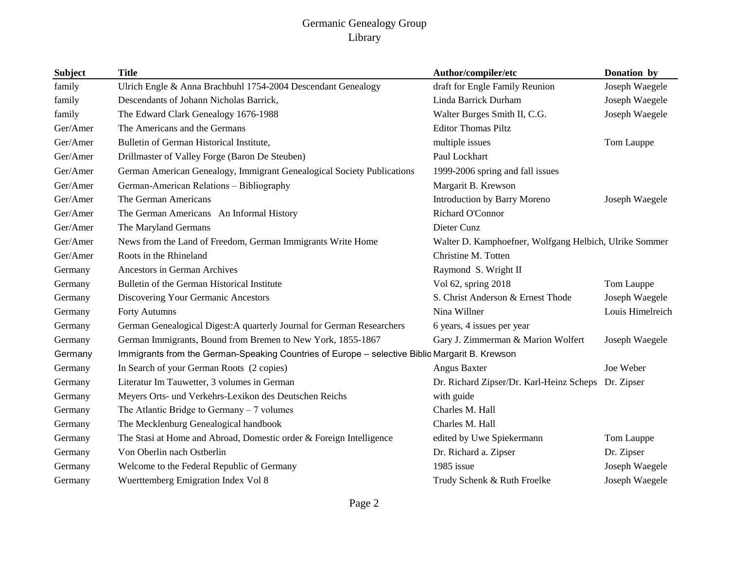| <b>Subject</b> | <b>Title</b>                                                                                   | Author/compiler/etc                                    | Donation by      |
|----------------|------------------------------------------------------------------------------------------------|--------------------------------------------------------|------------------|
| family         | Ulrich Engle & Anna Brachbuhl 1754-2004 Descendant Genealogy                                   | draft for Engle Family Reunion                         | Joseph Waegele   |
| family         | Descendants of Johann Nicholas Barrick,                                                        | Linda Barrick Durham                                   | Joseph Waegele   |
| family         | The Edward Clark Genealogy 1676-1988                                                           | Walter Burges Smith II, C.G.                           | Joseph Waegele   |
| Ger/Amer       | The Americans and the Germans                                                                  | <b>Editor Thomas Piltz</b>                             |                  |
| Ger/Amer       | Bulletin of German Historical Institute,                                                       | multiple issues                                        | Tom Lauppe       |
| Ger/Amer       | Drillmaster of Valley Forge (Baron De Steuben)                                                 | Paul Lockhart                                          |                  |
| Ger/Amer       | German American Genealogy, Immigrant Genealogical Society Publications                         | 1999-2006 spring and fall issues                       |                  |
| Ger/Amer       | German-American Relations - Bibliography                                                       | Margarit B. Krewson                                    |                  |
| Ger/Amer       | The German Americans                                                                           | Introduction by Barry Moreno                           | Joseph Waegele   |
| Ger/Amer       | The German Americans An Informal History                                                       | Richard O'Connor                                       |                  |
| Ger/Amer       | The Maryland Germans                                                                           | Dieter Cunz                                            |                  |
| Ger/Amer       | News from the Land of Freedom, German Immigrants Write Home                                    | Walter D. Kamphoefner, Wolfgang Helbich, Ulrike Sommer |                  |
| Ger/Amer       | Roots in the Rhineland                                                                         | Christine M. Totten                                    |                  |
| Germany        | <b>Ancestors in German Archives</b>                                                            | Raymond S. Wright II                                   |                  |
| Germany        | Bulletin of the German Historical Institute                                                    | Vol 62, spring 2018                                    | Tom Lauppe       |
| Germany        | Discovering Your Germanic Ancestors                                                            | S. Christ Anderson & Ernest Thode                      | Joseph Waegele   |
| Germany        | <b>Forty Autumns</b>                                                                           | Nina Willner                                           | Louis Himelreich |
| Germany        | German Genealogical Digest:A quarterly Journal for German Researchers                          | 6 years, 4 issues per year                             |                  |
| Germany        | German Immigrants, Bound from Bremen to New York, 1855-1867                                    | Gary J. Zimmerman & Marion Wolfert                     | Joseph Waegele   |
| Germany        | Immigrants from the German-Speaking Countries of Europe - selective Biblio Margarit B. Krewson |                                                        |                  |
| Germany        | In Search of your German Roots (2 copies)                                                      | Angus Baxter                                           | Joe Weber        |
| Germany        | Literatur Im Tauwetter, 3 volumes in German                                                    | Dr. Richard Zipser/Dr. Karl-Heinz Scheps Dr. Zipser    |                  |
| Germany        | Meyers Orts- und Verkehrs-Lexikon des Deutschen Reichs                                         | with guide                                             |                  |
| Germany        | The Atlantic Bridge to Germany $-7$ volumes                                                    | Charles M. Hall                                        |                  |
| Germany        | The Mecklenburg Genealogical handbook                                                          | Charles M. Hall                                        |                  |
| Germany        | The Stasi at Home and Abroad, Domestic order & Foreign Intelligence                            | edited by Uwe Spiekermann                              | Tom Lauppe       |
| Germany        | Von Oberlin nach Ostberlin                                                                     | Dr. Richard a. Zipser                                  | Dr. Zipser       |
| Germany        | Welcome to the Federal Republic of Germany                                                     | 1985 issue                                             | Joseph Waegele   |
| Germany        | Wuerttemberg Emigration Index Vol 8                                                            | Trudy Schenk & Ruth Froelke                            | Joseph Waegele   |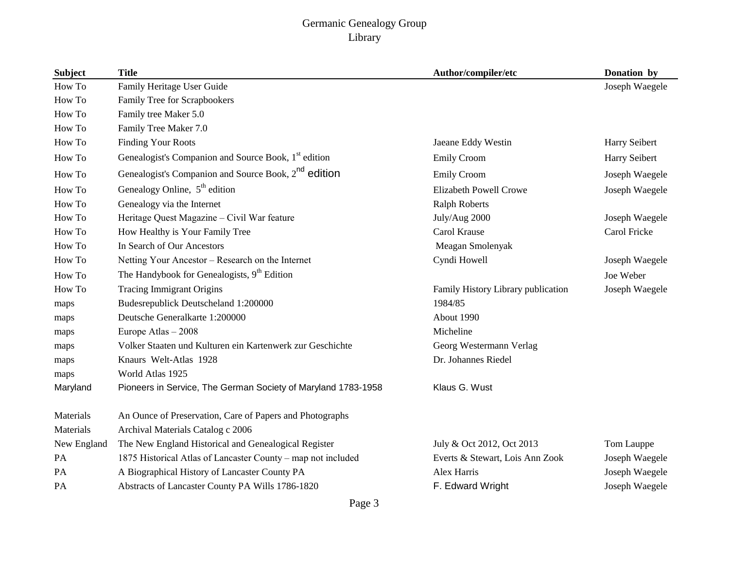| <b>Subject</b> | <b>Title</b>                                                     | Author/compiler/etc                | Donation by    |
|----------------|------------------------------------------------------------------|------------------------------------|----------------|
| How To         | Family Heritage User Guide                                       |                                    | Joseph Waegele |
| How To         | Family Tree for Scrapbookers                                     |                                    |                |
| How To         | Family tree Maker 5.0                                            |                                    |                |
| How To         | Family Tree Maker 7.0                                            |                                    |                |
| How To         | <b>Finding Your Roots</b>                                        | Jaeane Eddy Westin                 | Harry Seibert  |
| How To         | Genealogist's Companion and Source Book, 1 <sup>st</sup> edition | <b>Emily Croom</b>                 | Harry Seibert  |
| How To         | Genealogist's Companion and Source Book, 2 <sup>nd</sup> edition | <b>Emily Croom</b>                 | Joseph Waegele |
| How To         | Genealogy Online, $5^{\text{th}}$ edition                        | Elizabeth Powell Crowe             | Joseph Waegele |
| How To         | Genealogy via the Internet                                       | <b>Ralph Roberts</b>               |                |
| How To         | Heritage Quest Magazine - Civil War feature                      | July/Aug 2000                      | Joseph Waegele |
| How To         | How Healthy is Your Family Tree                                  | Carol Krause                       | Carol Fricke   |
| How To         | In Search of Our Ancestors                                       | Meagan Smolenyak                   |                |
| How To         | Netting Your Ancestor - Research on the Internet                 | Cyndi Howell                       | Joseph Waegele |
| How To         | The Handybook for Genealogists, $9th$ Edition                    |                                    | Joe Weber      |
| How To         | <b>Tracing Immigrant Origins</b>                                 | Family History Library publication | Joseph Waegele |
| maps           | Budesrepublick Deutscheland 1:200000                             | 1984/85                            |                |
| maps           | Deutsche Generalkarte 1:200000                                   | About 1990                         |                |
| maps           | Europe Atlas - 2008                                              | Micheline                          |                |
| maps           | Volker Staaten und Kulturen ein Kartenwerk zur Geschichte        | Georg Westermann Verlag            |                |
| maps           | Knaurs Welt-Atlas 1928                                           | Dr. Johannes Riedel                |                |
| maps           | World Atlas 1925                                                 |                                    |                |
| Maryland       | Pioneers in Service, The German Society of Maryland 1783-1958    | Klaus G. Wust                      |                |
| Materials      | An Ounce of Preservation, Care of Papers and Photographs         |                                    |                |
| Materials      | Archival Materials Catalog c 2006                                |                                    |                |
| New England    | The New England Historical and Genealogical Register             | July & Oct 2012, Oct 2013          | Tom Lauppe     |
| PA             | 1875 Historical Atlas of Lancaster County – map not included     | Everts & Stewart, Lois Ann Zook    | Joseph Waegele |
| PA             | A Biographical History of Lancaster County PA                    | Alex Harris                        | Joseph Waegele |
| PA             | Abstracts of Lancaster County PA Wills 1786-1820                 | F. Edward Wright                   | Joseph Waegele |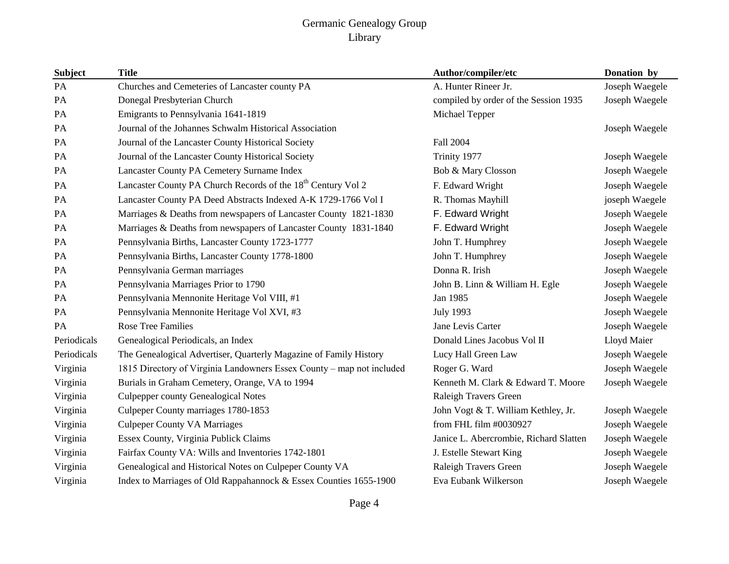| <b>Subject</b> | <b>Title</b>                                                             | Author/compiler/etc                    | Donation by    |
|----------------|--------------------------------------------------------------------------|----------------------------------------|----------------|
| PA             | Churches and Cemeteries of Lancaster county PA                           | A. Hunter Rineer Jr.                   | Joseph Waegele |
| PA             | Donegal Presbyterian Church                                              | compiled by order of the Session 1935  | Joseph Waegele |
| PA             | Emigrants to Pennsylvania 1641-1819                                      | Michael Tepper                         |                |
| PA             | Journal of the Johannes Schwalm Historical Association                   |                                        | Joseph Waegele |
| PA             | Journal of the Lancaster County Historical Society                       | Fall 2004                              |                |
| PA             | Journal of the Lancaster County Historical Society                       | Trinity 1977                           | Joseph Waegele |
| PA             | Lancaster County PA Cemetery Surname Index                               | Bob & Mary Closson                     | Joseph Waegele |
| PA             | Lancaster County PA Church Records of the 18 <sup>th</sup> Century Vol 2 | F. Edward Wright                       | Joseph Waegele |
| PA             | Lancaster County PA Deed Abstracts Indexed A-K 1729-1766 Vol I           | R. Thomas Mayhill                      | joseph Waegele |
| PA             | Marriages & Deaths from newspapers of Lancaster County 1821-1830         | F. Edward Wright                       | Joseph Waegele |
| PA             | Marriages & Deaths from newspapers of Lancaster County 1831-1840         | F. Edward Wright                       | Joseph Waegele |
| PA             | Pennsylvania Births, Lancaster County 1723-1777                          | John T. Humphrey                       | Joseph Waegele |
| PA             | Pennsylvania Births, Lancaster County 1778-1800                          | John T. Humphrey                       | Joseph Waegele |
| PA             | Pennsylvania German marriages                                            | Donna R. Irish                         | Joseph Waegele |
| PA             | Pennsylvania Marriages Prior to 1790                                     | John B. Linn & William H. Egle         | Joseph Waegele |
| PA             | Pennsylvania Mennonite Heritage Vol VIII, #1                             | Jan 1985                               | Joseph Waegele |
| PA             | Pennsylvania Mennonite Heritage Vol XVI, #3                              | <b>July 1993</b>                       | Joseph Waegele |
| <b>PA</b>      | <b>Rose Tree Families</b>                                                | Jane Levis Carter                      | Joseph Waegele |
| Periodicals    | Genealogical Periodicals, an Index                                       | Donald Lines Jacobus Vol II            | Lloyd Maier    |
| Periodicals    | The Genealogical Advertiser, Quarterly Magazine of Family History        | Lucy Hall Green Law                    | Joseph Waegele |
| Virginia       | 1815 Directory of Virginia Landowners Essex County - map not included    | Roger G. Ward                          | Joseph Waegele |
| Virginia       | Burials in Graham Cemetery, Orange, VA to 1994                           | Kenneth M. Clark & Edward T. Moore     | Joseph Waegele |
| Virginia       | <b>Culpepper county Genealogical Notes</b>                               | Raleigh Travers Green                  |                |
| Virginia       | Culpeper County marriages 1780-1853                                      | John Vogt & T. William Kethley, Jr.    | Joseph Waegele |
| Virginia       | <b>Culpeper County VA Marriages</b>                                      | from FHL film #0030927                 | Joseph Waegele |
| Virginia       | Essex County, Virginia Publick Claims                                    | Janice L. Abercrombie, Richard Slatten | Joseph Waegele |
| Virginia       | Fairfax County VA: Wills and Inventories 1742-1801                       | J. Estelle Stewart King                | Joseph Waegele |
| Virginia       | Genealogical and Historical Notes on Culpeper County VA                  | Raleigh Travers Green                  | Joseph Waegele |
| Virginia       | Index to Marriages of Old Rappahannock & Essex Counties 1655-1900        | Eva Eubank Wilkerson                   | Joseph Waegele |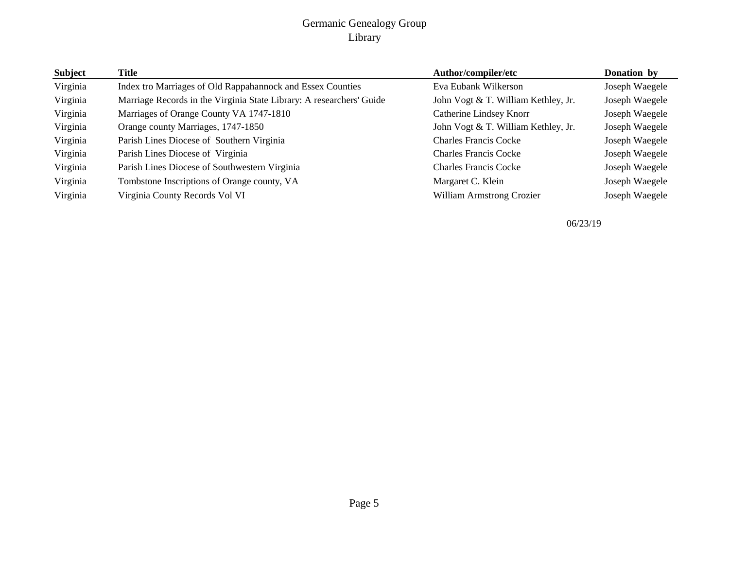| Subject  | Title                                                                | Author/compiler/etc                 | Donation by    |
|----------|----------------------------------------------------------------------|-------------------------------------|----------------|
| Virginia | Index tro Marriages of Old Rappahannock and Essex Counties           | Eva Eubank Wilkerson                | Joseph Waegele |
| Virginia | Marriage Records in the Virginia State Library: A researchers' Guide | John Vogt & T. William Kethley, Jr. | Joseph Waegele |
| Virginia | Marriages of Orange County VA 1747-1810                              | Catherine Lindsey Knorr             | Joseph Waegele |
| Virginia | Orange county Marriages, 1747-1850                                   | John Vogt & T. William Kethley, Jr. | Joseph Waegele |
| Virginia | Parish Lines Diocese of Southern Virginia                            | <b>Charles Francis Cocke</b>        | Joseph Waegele |
| Virginia | Parish Lines Diocese of Virginia                                     | <b>Charles Francis Cocke</b>        | Joseph Waegele |
| Virginia | Parish Lines Diocese of Southwestern Virginia                        | <b>Charles Francis Cocke</b>        | Joseph Waegele |
| Virginia | Tombstone Inscriptions of Orange county, VA                          | Margaret C. Klein                   | Joseph Waegele |
| Virginia | Virginia County Records Vol VI                                       | <b>William Armstrong Crozier</b>    | Joseph Waegele |

06/23/19